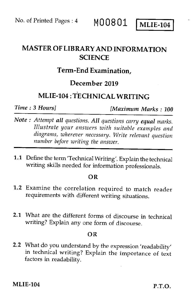## MASTER OF LIBRARY AND INFORMATION **SCIENCE**

## Term-End Examination,

## December 2019

## MLIE-104 : TECHNICAL WRITING

*Time : 3 Hours] (Maximum Marks : 100* 

- *Note : Attempt all questions. All questions carry equal marks. Illustrate your answers with suitable examples and diagrams, wherever necessary. Write relevant question number before writing the answer.*
- 1.1 Define the term 'Technical Writing'. Explain the technical writing skills needed for information professionals.

## OR

- 1.2 Examine the correlation required to match reader requirements with different writing situations.
- 2.1 What are the different forms of discourse in technical writing? Explain any one form of discourse.

### OR

2.2 What do you understand by the expression 'readability' in technical writing? Explain the importance of text factors in readability.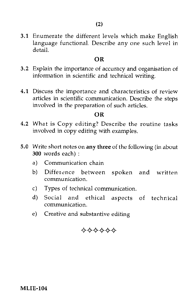3.1 Enumerate the different levels which make English language functional. Describe any one such level in detail.

## OR

- 3.2 Explain the importance of accuracy and organisation of information in scientific and technical writing.
- 4.1 Discuss the importance and characteristics of review articles in scientific communication. Describe the steps involved in the preparation of such articles.

## OR

- 4.2 What is Copy editing? Describe the routine tasks involved in copy editing with examples.
- 5.0 Write short notes on any three of the following (in about 300 words each) :
	- a) Communication chain
	- b) Difference between spoken and written communication.
	- c) Types of technical communication.
	- d) Social and ethical aspects of technical communication.
	- e) Creative and substantive editing

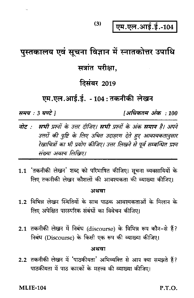एम.एल.आई.ई.-104

# पुस्तकालय एवं सूचना विज्ञान में स्नातकोत्तर उपाधि

 $(3)$ 

## सत्रांत परीक्षा.

# **दिसंबर 2019**

## एम.एल.आई.ई. - 104: तकनीकी लेखन

समय : 3 घण्टे 1

[अधिकतम अंक : 100

- नोट : सभी प्रश्नों के उत्तर दीजिए। सभी प्रश्नों के अंक समान है। अपने उत्तरों की पुष्टि के लिए उचित उदाहरण देते हुए आवश्यकतानुसार रेखाचित्रों का भी प्रयोग कीजिए। उत्तर लिखने से पूर्व सम्बन्धित प्रश्न संख्या अवश्य लिखिए।
- 1.1 'तकनीकी लेखन' शब्द को परिभाषित कीजिए। सूचना व्यवसायियों के लिए तकनीकी लेखन कौशलों की आवश्यकता की व्याख्या कीजिए।

#### अथवा

- 1.2 विभिन्न लेखन स्थितियों के साथ पाठक आवश्यकताओं के मिलान के लिए अपेक्षित पारस्परिक संबंधों का विवेचन कीजिए।
- 2.1 तकनीकी लेखन में निबंध (discourse) के विभिन्न रूप कौन-से हैं? निबंध (Discourse) के किसी एक रूप की व्याख्या कीजिए।

### अथवा

2.2 तकनीकी लेखन में 'पाठकीयता' अभिव्यक्ति से आप क्या समझते हैं? पाठकीयता में पाठ कारकों के महत्त्व की व्याख्या कीजिए।

**MLIE-104** 

P.T.O.